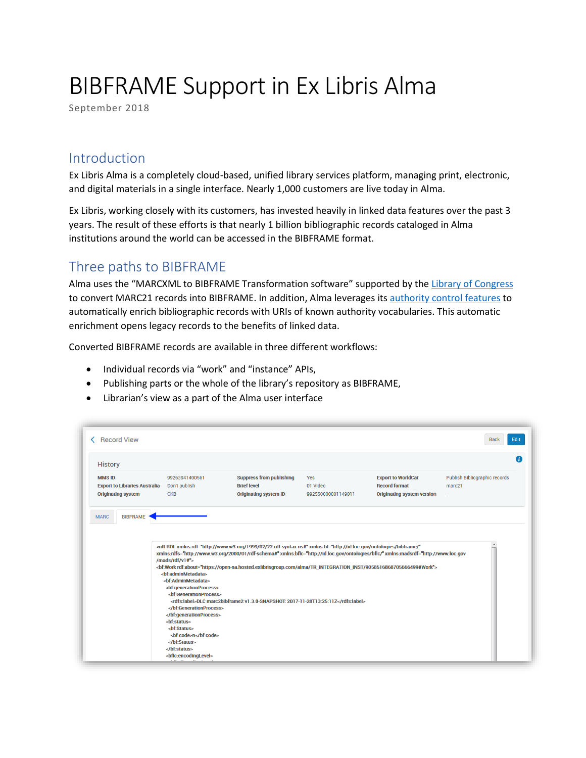# BIBFRAME Support in Ex Libris Alma

September 2018

#### Introduction

Ex Libris Alma is a completely cloud-based, unified library services platform, managing print, electronic, and digital materials in a single interface. Nearly 1,000 customers are live today in Alma.

Ex Libris, working closely with its customers, has invested heavily in linked data features over the past 3 years. The result of these efforts is that nearly 1 billion bibliographic records cataloged in Alma institutions around the world can be accessed in the BIBFRAME format.

#### Three paths to BIBFRAME

Alma uses the "MARCXML to BIBFRAME Transformation software" supported by the [Library of Congress](https://www.loc.gov/bibframe/tools/) to convert MARC21 records into BIBFRAME. In addition, Alma leverages it[s authority control features](https://www.exlibrisgroup.com/products/alma-library-services-platform/community-zone/) to automatically enrich bibliographic records with URIs of known authority vocabularies. This automatic enrichment opens legacy records to the benefits of linked data.

Converted BIBFRAME records are available in three different workflows:

- Individual records via "work" and "instance" APIs,
- Publishing parts or the whole of the library's repository as BIBFRAME,
- Librarian's view as a part of the Alma user interface

| <b>History</b><br><b>MMSID</b><br><b>Export to Libraries Australia</b> | 99263941400561                  | <b>Suppress from publishing</b>                                                                                                                                                                                                                             |                    |                                   |                               |
|------------------------------------------------------------------------|---------------------------------|-------------------------------------------------------------------------------------------------------------------------------------------------------------------------------------------------------------------------------------------------------------|--------------------|-----------------------------------|-------------------------------|
|                                                                        |                                 |                                                                                                                                                                                                                                                             | Yes                | <b>Export to WorldCat</b>         | Publish Bibliographic records |
|                                                                        |                                 | <b>Brief level</b>                                                                                                                                                                                                                                          | 01 Video           | <b>Record format</b>              | marc <sub>21</sub>            |
|                                                                        | Don't publish                   |                                                                                                                                                                                                                                                             |                    |                                   |                               |
| <b>Originating system</b>                                              | <b>CKB</b>                      | <b>Originating system ID</b>                                                                                                                                                                                                                                | 992550000001149011 | <b>Originating system version</b> | ×.                            |
|                                                                        |                                 | <rdf:rdf <="" th="" xmlns:bf="http://id.loc.gov/ontologies/bibframe/" xmlns:rdf="http://www.w3.org/1999/02/22-rdf-syntax-ns#"><th></th><th></th><th>۰</th></rdf:rdf>                                                                                        |                    |                                   | ۰                             |
|                                                                        | /mads/rdf/v1#">                 | xmins:rdfs="http://www.w3.org/2000/01/rdf-schema#" xmins:bfic="http://id.loc.gov/ontologies/bfic/" xmins:madsrdf="http://www.loc.gov<br><br>hf:Work rdf:about="https://open-na.hosted.exlibrisgroup.com/alma/TR_INTEGRATION_INST/9058516868705666499#Work"> |                    |                                   |                               |
|                                                                        | <br><br>contractionProcess><br> | <rdfs:label>DLC marc2bibframe2 v1.3.0-SNAPSHOT:2017-11-28T13:25:11Z</rdfs:label>                                                                                                                                                                            |                    |                                   |                               |
|                                                                        |                                 |                                                                                                                                                                                                                                                             |                    |                                   |                               |
|                                                                        | <br>status>                     |                                                                                                                                                                                                                                                             |                    |                                   |                               |
|                                                                        | <bf:status></bf:status>         |                                                                                                                                                                                                                                                             |                    |                                   |                               |
|                                                                        | <bf:code>n</bf:code>            |                                                                                                                                                                                                                                                             |                    |                                   |                               |
|                                                                        | <br>                            |                                                                                                                                                                                                                                                             |                    |                                   |                               |